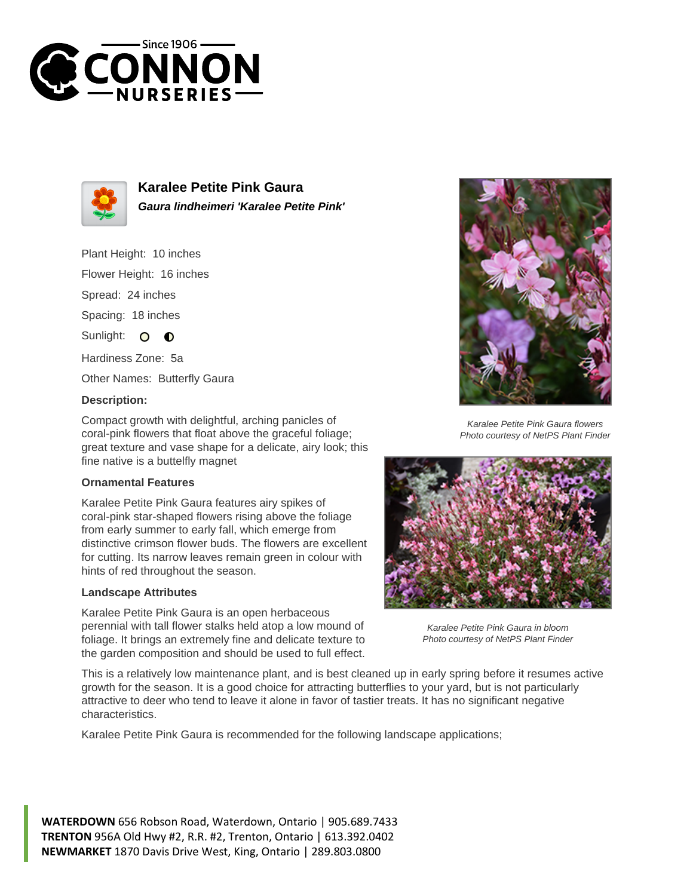



**Karalee Petite Pink Gaura Gaura lindheimeri 'Karalee Petite Pink'**

Plant Height: 10 inches

Flower Height: 16 inches

Spread: 24 inches

Spacing: 18 inches

Sunlight: O  $\bullet$ 

Hardiness Zone: 5a

Other Names: Butterfly Gaura

## **Description:**

Compact growth with delightful, arching panicles of coral-pink flowers that float above the graceful foliage; great texture and vase shape for a delicate, airy look; this fine native is a buttelfly magnet

## **Ornamental Features**

Karalee Petite Pink Gaura features airy spikes of coral-pink star-shaped flowers rising above the foliage from early summer to early fall, which emerge from distinctive crimson flower buds. The flowers are excellent for cutting. Its narrow leaves remain green in colour with hints of red throughout the season.

## **Landscape Attributes**

Karalee Petite Pink Gaura is an open herbaceous perennial with tall flower stalks held atop a low mound of foliage. It brings an extremely fine and delicate texture to the garden composition and should be used to full effect.



Karalee Petite Pink Gaura flowers Photo courtesy of NetPS Plant Finder



Karalee Petite Pink Gaura in bloom Photo courtesy of NetPS Plant Finder

This is a relatively low maintenance plant, and is best cleaned up in early spring before it resumes active growth for the season. It is a good choice for attracting butterflies to your yard, but is not particularly attractive to deer who tend to leave it alone in favor of tastier treats. It has no significant negative characteristics.

Karalee Petite Pink Gaura is recommended for the following landscape applications;

**WATERDOWN** 656 Robson Road, Waterdown, Ontario | 905.689.7433 **TRENTON** 956A Old Hwy #2, R.R. #2, Trenton, Ontario | 613.392.0402 **NEWMARKET** 1870 Davis Drive West, King, Ontario | 289.803.0800